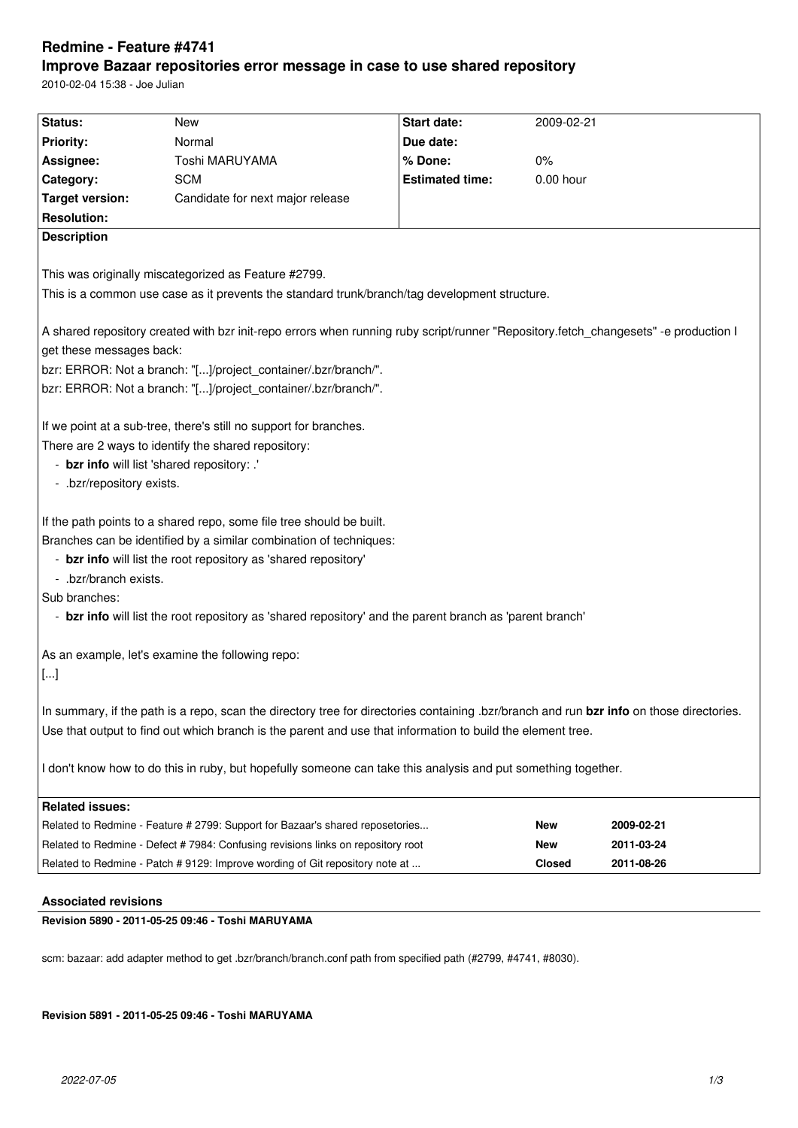# **Redmine - Feature #4741**

# **Improve Bazaar repositories error message in case to use shared repository**

2010-02-04 15:38 - Joe Julian

| Status:                                                                                                                                  | New                                                                              | Start date:            | 2009-02-21    |            |
|------------------------------------------------------------------------------------------------------------------------------------------|----------------------------------------------------------------------------------|------------------------|---------------|------------|
| <b>Priority:</b>                                                                                                                         | Normal                                                                           | Due date:              |               |            |
|                                                                                                                                          |                                                                                  |                        |               |            |
| Assignee:                                                                                                                                | Toshi MARUYAMA                                                                   | % Done:                | $0\%$         |            |
| Category:                                                                                                                                | <b>SCM</b>                                                                       | <b>Estimated time:</b> | $0.00$ hour   |            |
| <b>Target version:</b>                                                                                                                   | Candidate for next major release                                                 |                        |               |            |
| <b>Resolution:</b>                                                                                                                       |                                                                                  |                        |               |            |
| <b>Description</b>                                                                                                                       |                                                                                  |                        |               |            |
|                                                                                                                                          |                                                                                  |                        |               |            |
| This was originally miscategorized as Feature #2799.                                                                                     |                                                                                  |                        |               |            |
| This is a common use case as it prevents the standard trunk/branch/tag development structure.                                            |                                                                                  |                        |               |            |
|                                                                                                                                          |                                                                                  |                        |               |            |
| A shared repository created with bzr init-repo errors when running ruby script/runner "Repository.fetch_changesets" -e production I      |                                                                                  |                        |               |            |
| get these messages back:                                                                                                                 |                                                                                  |                        |               |            |
| bzr: ERROR: Not a branch: "[]/project_container/.bzr/branch/".                                                                           |                                                                                  |                        |               |            |
| bzr: ERROR: Not a branch: "[]/project_container/.bzr/branch/".                                                                           |                                                                                  |                        |               |            |
|                                                                                                                                          |                                                                                  |                        |               |            |
| If we point at a sub-tree, there's still no support for branches.                                                                        |                                                                                  |                        |               |            |
| There are 2 ways to identify the shared repository:                                                                                      |                                                                                  |                        |               |            |
| - bzr info will list 'shared repository: .'                                                                                              |                                                                                  |                        |               |            |
| - .bzr/repository exists.                                                                                                                |                                                                                  |                        |               |            |
|                                                                                                                                          |                                                                                  |                        |               |            |
| If the path points to a shared repo, some file tree should be built.                                                                     |                                                                                  |                        |               |            |
| Branches can be identified by a similar combination of techniques:                                                                       |                                                                                  |                        |               |            |
| - bzr info will list the root repository as 'shared repository'                                                                          |                                                                                  |                        |               |            |
| - .bzr/branch exists.                                                                                                                    |                                                                                  |                        |               |            |
| Sub branches:                                                                                                                            |                                                                                  |                        |               |            |
| - bzr info will list the root repository as 'shared repository' and the parent branch as 'parent branch'                                 |                                                                                  |                        |               |            |
|                                                                                                                                          |                                                                                  |                        |               |            |
| As an example, let's examine the following repo:                                                                                         |                                                                                  |                        |               |            |
| $[]$                                                                                                                                     |                                                                                  |                        |               |            |
|                                                                                                                                          |                                                                                  |                        |               |            |
| In summary, if the path is a repo, scan the directory tree for directories containing .bzr/branch and run bzr info on those directories. |                                                                                  |                        |               |            |
| Use that output to find out which branch is the parent and use that information to build the element tree.                               |                                                                                  |                        |               |            |
|                                                                                                                                          |                                                                                  |                        |               |            |
| I don't know how to do this in ruby, but hopefully someone can take this analysis and put something together.                            |                                                                                  |                        |               |            |
|                                                                                                                                          |                                                                                  |                        |               |            |
| <b>Related issues:</b>                                                                                                                   |                                                                                  |                        |               |            |
|                                                                                                                                          | Related to Redmine - Feature # 2799: Support for Bazaar's shared reposetories    |                        | <b>New</b>    | 2009-02-21 |
|                                                                                                                                          | Related to Redmine - Defect # 7984: Confusing revisions links on repository root |                        | New           | 2011-03-24 |
|                                                                                                                                          | Related to Redmine - Patch # 9129: Improve wording of Git repository note at     |                        | <b>Closed</b> | 2011-08-26 |
|                                                                                                                                          |                                                                                  |                        |               |            |

## **Associated revisions**

# **Revision 5890 - 2011-05-25 09:46 - Toshi MARUYAMA**

scm: bazaar: add adapter method to get .bzr/branch/branch.conf path from specified path (#2799, #4741, #8030).

### **Revision 5891 - 2011-05-25 09:46 - Toshi MARUYAMA**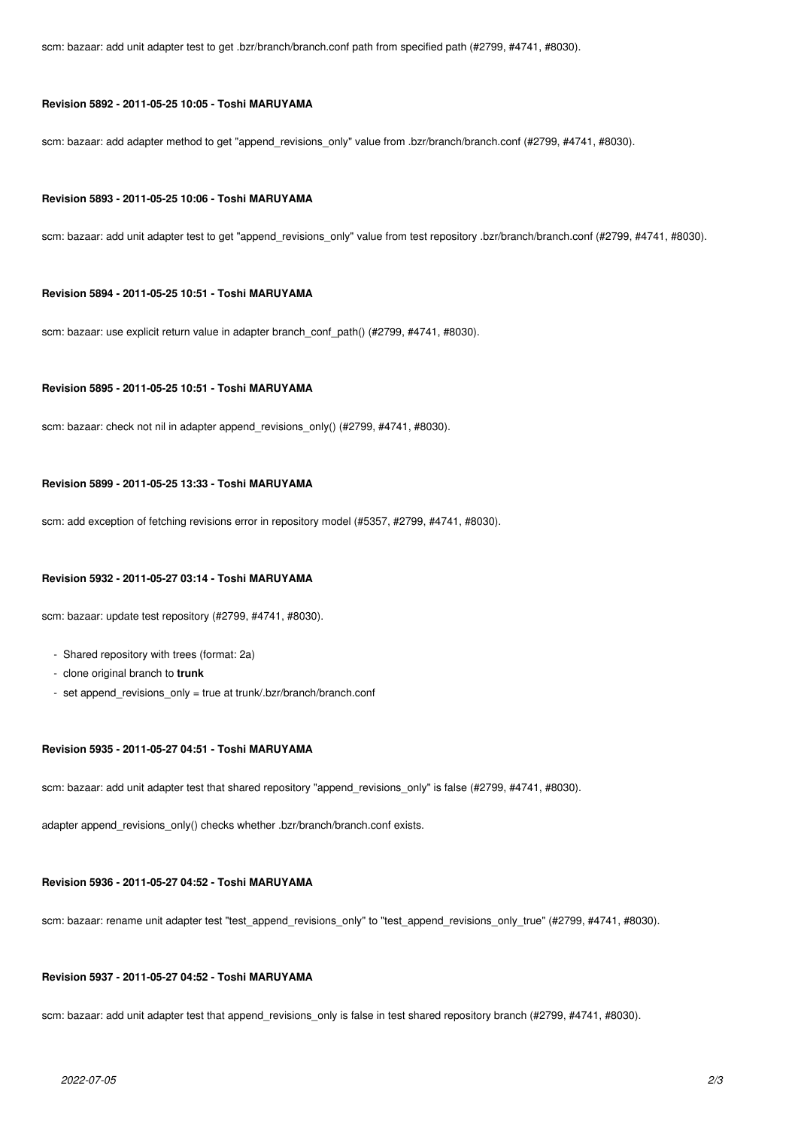scm: bazaar: add unit adapter test to get .bzr/branch/branch.conf path from specified path (#2799, #4741, #8030).

#### **Revision 5892 - 2011-05-25 10:05 - Toshi MARUYAMA**

scm: bazaar: add adapter method to get "append\_revisions\_only" value from .bzr/branch/branch.conf (#2799, #4741, #8030).

#### **Revision 5893 - 2011-05-25 10:06 - Toshi MARUYAMA**

scm: bazaar: add unit adapter test to get "append\_revisions\_only" value from test repository .bzr/branch/branch.conf (#2799, #4741, #8030).

#### **Revision 5894 - 2011-05-25 10:51 - Toshi MARUYAMA**

scm: bazaar: use explicit return value in adapter branch\_conf\_path() (#2799, #4741, #8030).

## **Revision 5895 - 2011-05-25 10:51 - Toshi MARUYAMA**

scm: bazaar: check not nil in adapter append\_revisions\_only() (#2799, #4741, #8030).

### **Revision 5899 - 2011-05-25 13:33 - Toshi MARUYAMA**

scm: add exception of fetching revisions error in repository model (#5357, #2799, #4741, #8030).

#### **Revision 5932 - 2011-05-27 03:14 - Toshi MARUYAMA**

scm: bazaar: update test repository (#2799, #4741, #8030).

- Shared repository with trees (format: 2a)
- clone original branch to **trunk**
- set append revisions only = true at trunk/.bzr/branch/branch.conf

#### **Revision 5935 - 2011-05-27 04:51 - Toshi MARUYAMA**

scm: bazaar: add unit adapter test that shared repository "append\_revisions\_only" is false (#2799, #4741, #8030).

adapter append\_revisions\_only() checks whether .bzr/branch/branch.conf exists.

#### **Revision 5936 - 2011-05-27 04:52 - Toshi MARUYAMA**

scm: bazaar: rename unit adapter test "test\_append\_revisions\_only" to "test\_append\_revisions\_only\_true" (#2799, #4741, #8030).

#### **Revision 5937 - 2011-05-27 04:52 - Toshi MARUYAMA**

scm: bazaar: add unit adapter test that append\_revisions\_only is false in test shared repository branch (#2799, #4741, #8030).